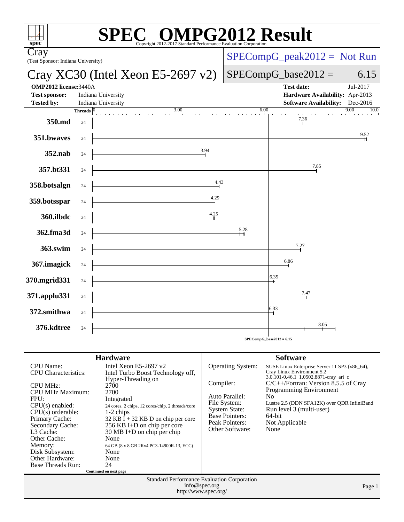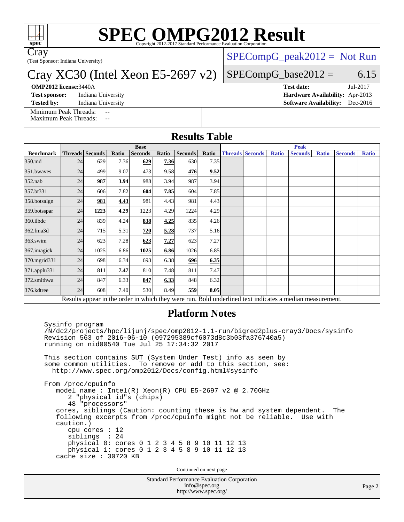

# **[SPEC OMPG2012 Result](http://www.spec.org/auto/omp2012/Docs/result-fields.html#SPECOMPG2012Result)**

Cray

(Test Sponsor: Indiana University)

### Cray XC30 (Intel Xeon E5-2697 v2)

#### **[OMP2012 license:](http://www.spec.org/auto/omp2012/Docs/result-fields.html#OMP2012license)**3440A **[Test date:](http://www.spec.org/auto/omp2012/Docs/result-fields.html#Testdate)** Jul-2017

 $SPECompG_peak2012 = Not Run$  $SPECompG_peak2012 = Not Run$ 

### $SPECompG_base2012 = 6.15$  $SPECompG_base2012 = 6.15$

[Minimum Peak Threads:](http://www.spec.org/auto/omp2012/Docs/result-fields.html#MinimumPeakThreads)

[Maximum Peak Threads:](http://www.spec.org/auto/omp2012/Docs/result-fields.html#MaximumPeakThreads)

**[Test sponsor:](http://www.spec.org/auto/omp2012/Docs/result-fields.html#Testsponsor)** Indiana University **[Hardware Availability:](http://www.spec.org/auto/omp2012/Docs/result-fields.html#HardwareAvailability)** Apr-2013 **[Tested by:](http://www.spec.org/auto/omp2012/Docs/result-fields.html#Testedby)** Indiana University **[Software Availability:](http://www.spec.org/auto/omp2012/Docs/result-fields.html#SoftwareAvailability)** Dec-2016

| <b>Benchmark</b> | <b>Base</b>     |      |       |                |       |                |       | <b>Peak</b> |                        |              |                |              |                |              |
|------------------|-----------------|------|-------|----------------|-------|----------------|-------|-------------|------------------------|--------------|----------------|--------------|----------------|--------------|
|                  | Threads Seconds |      | Ratio | <b>Seconds</b> | Ratio | <b>Seconds</b> | Ratio |             | <b>Threads Seconds</b> | <b>Ratio</b> | <b>Seconds</b> | <b>Ratio</b> | <b>Seconds</b> | <b>Ratio</b> |
| 350.md           | 24              | 629  | 7.36  | 629            | 7.36  | 630            | 7.35  |             |                        |              |                |              |                |              |
| 351.bwaves       | 24              | 499  | 9.07  | 473            | 9.58  | 476            | 9.52  |             |                        |              |                |              |                |              |
| $352$ .nab       | 24              | 987  | 3.94  | 988            | 3.94  | 987            | 3.94  |             |                        |              |                |              |                |              |
| 357.bt331        | 24              | 606  | 7.82  | 604            | 7.85  | 604            | 7.85  |             |                        |              |                |              |                |              |
| 358.botsalgn     | 24              | 981  | 4.43  | 981            | 4.43  | 981            | 4.43  |             |                        |              |                |              |                |              |
| 359.botsspar     | 24              | 1223 | 4.29  | 1223           | 4.29  | 1224           | 4.29  |             |                        |              |                |              |                |              |
| 360.ilbdc        | 24              | 839  | 4.24  | 838            | 4.25  | 835            | 4.26  |             |                        |              |                |              |                |              |
| 362.fma3d        | 24              | 715  | 5.31  | 720            | 5.28  | 737            | 5.16  |             |                        |              |                |              |                |              |
| $363$ .swim      | 24              | 623  | 7.28  | 623            | 7.27  | 623            | 7.27  |             |                        |              |                |              |                |              |
| 367.imagick      | 24              | 1025 | 6.86  | 1025           | 6.86  | 1026           | 6.85  |             |                        |              |                |              |                |              |
| 370.mgrid331     | 24              | 698  | 6.34  | 693            | 6.38  | 696            | 6.35  |             |                        |              |                |              |                |              |
| 371.applu331     | 24              | 811  | 7.47  | 810            | 7.48  | 811            | 7.47  |             |                        |              |                |              |                |              |
| 372.smithwa      | 24              | 847  | 6.33  | 847            | 6.33  | 848            | 6.32  |             |                        |              |                |              |                |              |
| 376.kdtree       | 24              | 608  | 7.40  | 530            | 8.49  | 559            | 8.05  |             |                        |              |                |              |                |              |

### **[Platform Notes](http://www.spec.org/auto/omp2012/Docs/result-fields.html#PlatformNotes)**

 Sysinfo program /N/dc2/projects/hpc/lijunj/spec/omp2012-1.1-run/bigred2plus-cray3/Docs/sysinfo Revision 563 of 2016-06-10 (097295389cf6073d8c3b03fa376740a5) running on nid00540 Tue Jul 25 17:34:32 2017

 This section contains SUT (System Under Test) info as seen by some common utilities. To remove or add to this section, see: <http://www.spec.org/omp2012/Docs/config.html#sysinfo>

 From /proc/cpuinfo model name : Intel(R) Xeon(R) CPU E5-2697 v2 @ 2.70GHz 2 "physical id"s (chips) 48 "processors" cores, siblings (Caution: counting these is hw and system dependent. The following excerpts from /proc/cpuinfo might not be reliable. Use with caution.) cpu cores : 12 siblings : 24 physical 0: cores 0 1 2 3 4 5 8 9 10 11 12 13 physical 1: cores 0 1 2 3 4 5 8 9 10 11 12 13 cache size : 30720 KB

Continued on next page

Standard Performance Evaluation Corporation [info@spec.org](mailto:info@spec.org) <http://www.spec.org/>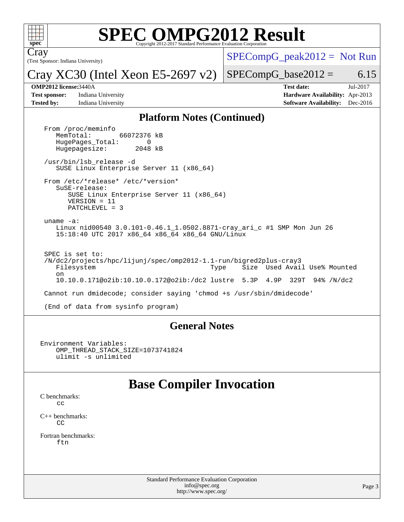

# **[SPEC OMPG2012 Result](http://www.spec.org/auto/omp2012/Docs/result-fields.html#SPECOMPG2012Result)**

(Test Sponsor: Indiana University) Cray

 $SPECompG_peak2012 = Not Run$  $SPECompG_peak2012 = Not Run$ 

Cray XC30 (Intel Xeon E5-2697 v2)  $SPECompG_base2012 = 6.15$  $SPECompG_base2012 = 6.15$ 

**[Test sponsor:](http://www.spec.org/auto/omp2012/Docs/result-fields.html#Testsponsor)** Indiana University **[Hardware Availability:](http://www.spec.org/auto/omp2012/Docs/result-fields.html#HardwareAvailability)** Apr-2013

**[OMP2012 license:](http://www.spec.org/auto/omp2012/Docs/result-fields.html#OMP2012license)**3440A **[Test date:](http://www.spec.org/auto/omp2012/Docs/result-fields.html#Testdate)** Jul-2017 **[Tested by:](http://www.spec.org/auto/omp2012/Docs/result-fields.html#Testedby)** Indiana University **[Software Availability:](http://www.spec.org/auto/omp2012/Docs/result-fields.html#SoftwareAvailability)** Dec-2016

### **[Platform Notes \(Continued\)](http://www.spec.org/auto/omp2012/Docs/result-fields.html#PlatformNotes)**

From /proc/meminfo<br>MemTotal: 66072376 kB HugePages\_Total: 0<br>Hugepagesize: 2048 kB Hugepagesize: /usr/bin/lsb\_release -d SUSE Linux Enterprise Server 11 (x86\_64) From /etc/\*release\* /etc/\*version\* SuSE-release: SUSE Linux Enterprise Server 11 (x86\_64) VERSION = 11 PATCHLEVEL = 3 uname -a: Linux nid00540 3.0.101-0.46.1\_1.0502.8871-cray\_ari\_c #1 SMP Mon Jun 26 15:18:40 UTC 2017 x86\_64 x86\_64 x86\_64 GNU/Linux SPEC is set to: /N/dc2/projects/hpc/lijunj/spec/omp2012-1.1-run/bigred2plus-cray3 Filesystem Type Size Used Avail Use% Mounted on 10.10.0.171@o2ib:10.10.0.172@o2ib:/dc2 lustre 5.3P 4.9P 329T 94% /N/dc2 Cannot run dmidecode; consider saying 'chmod +s /usr/sbin/dmidecode' (End of data from sysinfo program)

### **[General Notes](http://www.spec.org/auto/omp2012/Docs/result-fields.html#GeneralNotes)**

Environment Variables: OMP\_THREAD\_STACK\_SIZE=1073741824 ulimit -s unlimited

# **[Base Compiler Invocation](http://www.spec.org/auto/omp2012/Docs/result-fields.html#BaseCompilerInvocation)**

[C benchmarks](http://www.spec.org/auto/omp2012/Docs/result-fields.html#Cbenchmarks): [cc](http://www.spec.org/omp2012/results/res2017q3/omp2012-20170728-00109.flags.html#user_CCbase_craycc)

[C++ benchmarks:](http://www.spec.org/auto/omp2012/Docs/result-fields.html#CXXbenchmarks) [CC](http://www.spec.org/omp2012/results/res2017q3/omp2012-20170728-00109.flags.html#user_CXXbase_crayCC)

[Fortran benchmarks](http://www.spec.org/auto/omp2012/Docs/result-fields.html#Fortranbenchmarks): [ftn](http://www.spec.org/omp2012/results/res2017q3/omp2012-20170728-00109.flags.html#user_FCbase_crayftn)

> Standard Performance Evaluation Corporation [info@spec.org](mailto:info@spec.org) <http://www.spec.org/>